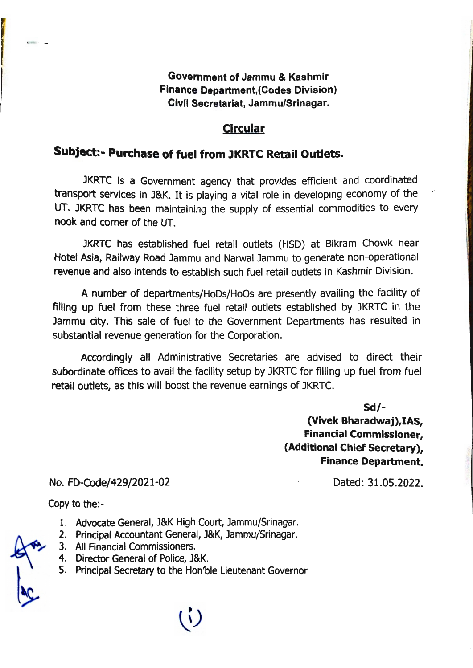## **Government of Jammu** & **Kashmir Finance Department,(Codes Division) Civil Secretariat, Jammu/Srinagar.**

## **Circular**

## ubject:- Purchase of fuel from JKRTC Retail Outlets.

JKRTC is a Government agency that provides efficient and coordinated transport services in J&K. It is playing a vital role in developing economy of the UT. JKRTC has been maintaining the supply of essential commodities to every nook and corner of the UT.

JKRTC has established fuel retail outlets (HSD) at Bikram Chowk near Hotel Asia, Railway Road Jammu and Narwal Jammu to generate non-operational revenue and also intends to establish such fuel retail outlets in Kashmir Division.

A number of departments/HoDs/HoOs are presently availing the facility of filling up fuel from these three fuel retail outlets established by JKRTC in the Jammu city. This sale of fuel to the Government Departments has resulted in ubstantial revenue generation for the Corporation.

Accordingly all Administrative Secretaries are advised to direct their subordinate offices to avail the facility setup by JKRTC for filling up fuel from fuel retail outlets, as this will boost the revenue earnings of JKRTC.

> **Sd/- (Vivek Bharadwaj),IAS, Financial Commissioner, (Additional Chief Secretary), Finance Department.**

No. FD-Code/429/2021-02

Dated: 31.05.2022.

Copy to the:-

- 1. Advocate General, J&K High Court, Jammu/Srinagar.
- 2. Principal Accountant General, J&K, Jammu/Srinagar.
- 3. All Financial Commissioners.
- 4. Director General of Police, J&K.
- S. Principal Secretary to the Hon'ble Lieutenant Governor